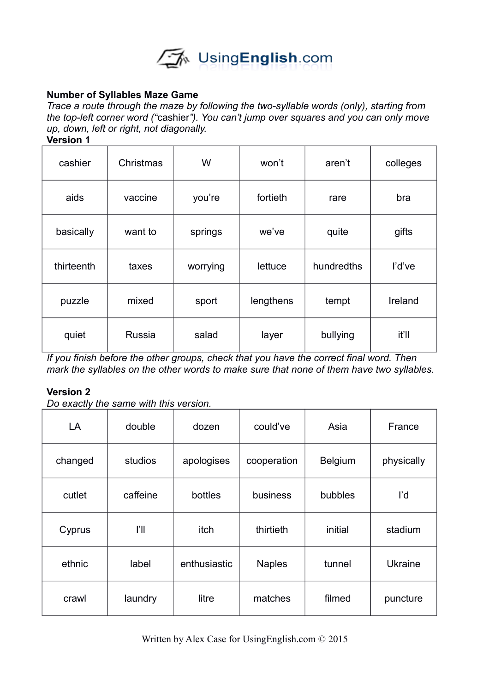

# **Number of Syllables Maze Game**

*Trace a route through the maze by following the two-syllable words (only), starting from the top-left corner word ("*cashier*"). You can't jump over squares and you can only move up, down, left or right, not diagonally.* 

**Version 1**

| cashier    | Christmas | W        | won't     | aren't     | colleges |
|------------|-----------|----------|-----------|------------|----------|
| aids       | vaccine   | you're   | fortieth  | rare       | bra      |
| basically  | want to   | springs  | we've     | quite      | gifts    |
| thirteenth | taxes     | worrying | lettuce   | hundredths | l'd've   |
| puzzle     | mixed     | sport    | lengthens | tempt      | Ireland  |
| quiet      | Russia    | salad    | layer     | bullying   | it'll    |

*If you finish before the other groups, check that you have the correct final word. Then mark the syllables on the other words to make sure that none of them have two syllables.* 

#### **Version 2**

*Do exactly the same with this version.* 

| LA      | double   | dozen        | could've      | Asia           | France         |
|---------|----------|--------------|---------------|----------------|----------------|
| changed | studios  | apologises   | cooperation   | <b>Belgium</b> | physically     |
| cutlet  | caffeine | bottles      | business      | bubbles        | ľd             |
| Cyprus  | ľI       | itch         | thirtieth     | initial        | stadium        |
| ethnic  | label    | enthusiastic | <b>Naples</b> | tunnel         | <b>Ukraine</b> |
| crawl   | laundry  | litre        | matches       | filmed         | puncture       |